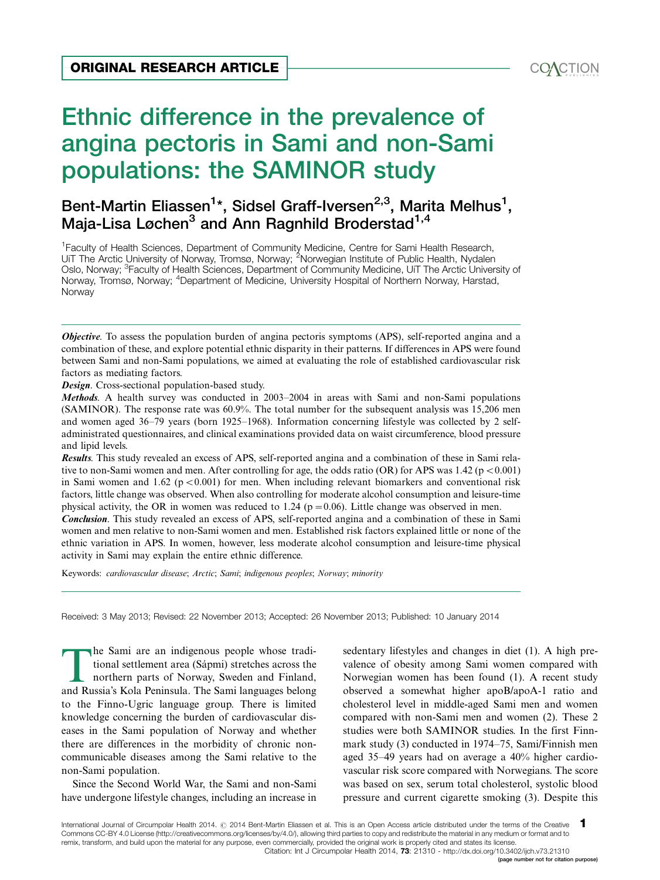

# Ethnic difference in the prevalence of angina pectoris in Sami and non-Sami populations: the SAMINOR study ORIGINAL RESEARCH ARTICLE<br>
Ethnic difference in the prevalence of<br>
angina pectoris in Sami and non-Sami<br>
populations: the SAMINOR study

# Bent-Martin Eliassen<sup>1</sup>[\\*](#page-10-0), Sidsel Graff-Iversen<sup>2,3</sup>, Marita Melhus<sup>1</sup>, Maja-Lisa Løchen<sup>3</sup> and Ann Ragnhild Broderstad<sup>1,4</sup>

<sup>1</sup> Faculty of Health Sciences, Department of Community Medicine, Centre for Sami Health Research, UiT The Arctic University of Norway, Tromsø, Norway; <sup>2</sup>Norwegian Institute of Public Health, Nydalen Oslo, Norway; <sup>3</sup>Faculty of Health Sciences, Department of Community Medicine, UiT The Arctic University of Norway, Tromsø, Norway; <sup>4</sup>Department of Medicine, University Hospital of Northern Norway, Harstad, Norway

**Objective**. To assess the population burden of angina pectoris symptoms (APS), self-reported angina and a combination of these, and explore potential ethnic disparity in their patterns. If differences in APS were found between Sami and non-Sami populations, we aimed at evaluating the role of established cardiovascular risk factors as mediating factors.

Design. Cross-sectional population-based study.

Methods. A health survey was conducted in 2003–2004 in areas with Sami and non-Sami populations (SAMINOR). The response rate was 60.9%. The total number for the subsequent analysis was 15,206 men and women aged 36-79 years (born 1925-1968). Information concerning lifestyle was collected by 2 selfadministrated questionnaires, and clinical examinations provided data on waist circumference, blood pressure and lipid levels.

Results. This study revealed an excess of APS, self-reported angina and a combination of these in Sami relative to non-Sami women and men. After controlling for age, the odds ratio (OR) for APS was  $1.42$  (p < 0.001) in Sami women and 1.62 ( $p < 0.001$ ) for men. When including relevant biomarkers and conventional risk factors, little change was observed. When also controlling for moderate alcohol consumption and leisure-time physical activity, the OR in women was reduced to 1.24 ( $p=0.06$ ). Little change was observed in men.

Conclusion. This study revealed an excess of APS, self-reported angina and a combination of these in Sami women and men relative to non-Sami women and men. Established risk factors explained little or none of the ethnic variation in APS. In women, however, less moderate alcohol consumption and leisure-time physical activity in Sami may explain the entire ethnic difference.

Keywords: cardiovascular disease; Arctic; Sami; indigenous peoples; Norway; minority

Received: 3 May 2013; Revised: 22 November 2013; Accepted: 26 November 2013; Published: 10 January 2014

The Sami are an indigenous people whose tradi-<br>tional settlement area (Sápmi) stretches across the<br>northern parts of Norway, Sweden and Finland,<br>and Russia's Kola Peninsula. The Sami languages belong tional settlement area (Sápmi) stretches across the northern parts of Norway, Sweden and Finland, and Russia's Kola Peninsula. The Sami languages belong to the Finno-Ugric language group. There is limited knowledge concerning the burden of cardiovascular diseases in the Sami population of Norway and whether there are differences in the morbidity of chronic noncommunicable diseases among the Sami relative to the non-Sami population.

Since the Second World War, the Sami and non-Sami have undergone lifestyle changes, including an increase in sedentary lifestyles and changes in diet (1). A high prevalence of obesity among Sami women compared with Norwegian women has been found (1). A recent study observed a somewhat higher apoB/apoA-1 ratio and cholesterol level in middle-aged Sami men and women compared with non-Sami men and women (2). These 2 studies were both SAMINOR studies. In the first Finnmark study (3) conducted in 1974-75, Sami/Finnish men aged 35-49 years had on average a 40% higher cardiovascular risk score compared with Norwegians. The score was based on sex, serum total cholesterol, systolic blood pressure and current cigarette smoking (3). Despite this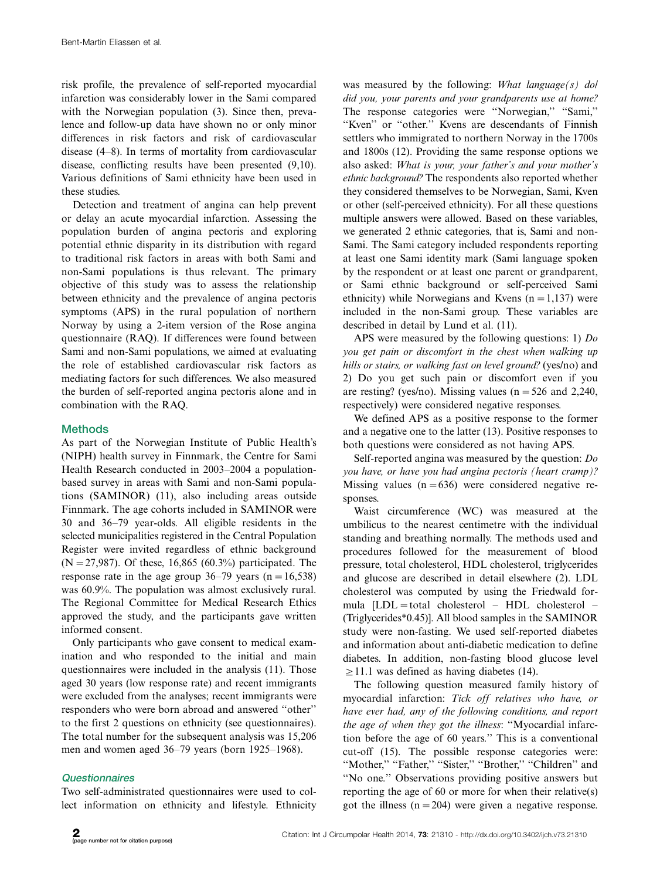risk profile, the prevalence of self-reported myocardial infarction was considerably lower in the Sami compared with the Norwegian population (3). Since then, prevalence and follow-up data have shown no or only minor differences in risk factors and risk of cardiovascular disease (4-8). In terms of mortality from cardiovascular disease, conflicting results have been presented (9,10). Various definitions of Sami ethnicity have been used in these studies.

Detection and treatment of angina can help prevent or delay an acute myocardial infarction. Assessing the population burden of angina pectoris and exploring potential ethnic disparity in its distribution with regard to traditional risk factors in areas with both Sami and non-Sami populations is thus relevant. The primary objective of this study was to assess the relationship between ethnicity and the prevalence of angina pectoris symptoms (APS) in the rural population of northern Norway by using a 2-item version of the Rose angina questionnaire (RAQ). If differences were found between Sami and non-Sami populations, we aimed at evaluating the role of established cardiovascular risk factors as mediating factors for such differences. We also measured the burden of self-reported angina pectoris alone and in combination with the RAQ.

# **Methods**

As part of the Norwegian Institute of Public Health's (NIPH) health survey in Finnmark, the Centre for Sami Health Research conducted in 2003-2004 a populationbased survey in areas with Sami and non-Sami populations (SAMINOR) (11), also including areas outside Finnmark. The age cohorts included in SAMINOR were 30 and 36-79 year-olds. All eligible residents in the selected municipalities registered in the Central Population Register were invited regardless of ethnic background  $(N=27,987)$ . Of these, 16,865 (60.3%) participated. The response rate in the age group  $36-79$  years  $(n=16,538)$ was 60.9%. The population was almost exclusively rural. The Regional Committee for Medical Research Ethics approved the study, and the participants gave written informed consent.

Only participants who gave consent to medical examination and who responded to the initial and main questionnaires were included in the analysis (11). Those aged 30 years (low response rate) and recent immigrants were excluded from the analyses; recent immigrants were responders who were born abroad and answered ''other'' to the first 2 questions on ethnicity (see questionnaires). The total number for the subsequent analysis was 15,206 men and women aged 36-79 years (born 1925-1968).

# Questionnaires

Two self-administrated questionnaires were used to collect information on ethnicity and lifestyle. Ethnicity was measured by the following: *What language(s) dol* did you, your parents and your grandparents use at home? The response categories were ''Norwegian,'' ''Sami,'' "Kven" or "other." Kvens are descendants of Finnish settlers who immigrated to northern Norway in the 1700s and 1800s (12). Providing the same response options we also asked: What is your, your father's and your mother's ethnic background? The respondents also reported whether they considered themselves to be Norwegian, Sami, Kven or other (self-perceived ethnicity). For all these questions multiple answers were allowed. Based on these variables, we generated 2 ethnic categories, that is, Sami and non-Sami. The Sami category included respondents reporting at least one Sami identity mark (Sami language spoken by the respondent or at least one parent or grandparent, or Sami ethnic background or self-perceived Sami ethnicity) while Norwegians and Kvens  $(n=1,137)$  were included in the non-Sami group. These variables are described in detail by Lund et al. (11).

APS were measured by the following questions: 1) Do you get pain or discomfort in the chest when walking up hills or stairs, or walking fast on level ground? (yes/no) and 2) Do you get such pain or discomfort even if you are resting? (yes/no). Missing values ( $n = 526$  and 2,240, respectively) were considered negative responses.

We defined APS as a positive response to the former and a negative one to the latter (13). Positive responses to both questions were considered as not having APS.

Self-reported angina was measured by the question: Do you have, or have you had angina pectoris (heart cramp)? Missing values  $(n=636)$  were considered negative responses.

Waist circumference (WC) was measured at the umbilicus to the nearest centimetre with the individual standing and breathing normally. The methods used and procedures followed for the measurement of blood pressure, total cholesterol, HDL cholesterol, triglycerides and glucose are described in detail elsewhere (2). LDL cholesterol was computed by using the Friedwald formula  $[LDL = total cholesterol - HDL cholesterol -$ (Triglycerides\*0.45)]. All blood samples in the SAMINOR study were non-fasting. We used self-reported diabetes and information about anti-diabetic medication to define diabetes. In addition, non-fasting blood glucose level  $\geq$ 11.1 was defined as having diabetes (14).

The following question measured family history of myocardial infarction: Tick off relatives who have, or have ever had, any of the following conditions, and report the age of when they got the illness: ''Myocardial infarction before the age of 60 years.'' This is a conventional cut-off (15). The possible response categories were: "Mother," "Father," "Sister," "Brother," "Children" and ''No one.'' Observations providing positive answers but reporting the age of 60 or more for when their relative(s) got the illness  $(n=204)$  were given a negative response.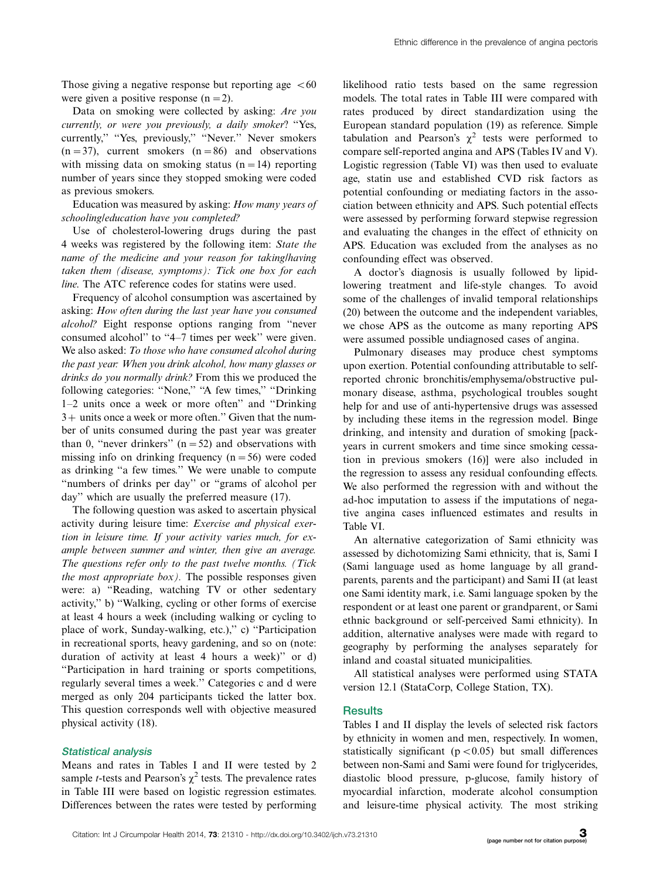Those giving a negative response but reporting age  $<60$ were given a positive response  $(n=2)$ .

Data on smoking were collected by asking: Are you currently, or were you previously, a daily smoker? ''Yes, currently," "Yes, previously," "Never." Never smokers  $(n=37)$ , current smokers  $(n=86)$  and observations with missing data on smoking status  $(n=14)$  reporting number of years since they stopped smoking were coded as previous smokers.

Education was measured by asking: How many years of schooling/education have you completed?

Use of cholesterol-lowering drugs during the past 4 weeks was registered by the following item: State the name of the medicine and your reason for taking/having taken them (disease, symptoms): Tick one box for each line. The ATC reference codes for statins were used.

Frequency of alcohol consumption was ascertained by asking: How often during the last year have you consumed alcohol? Eight response options ranging from ''never consumed alcohol'' to ''4-7 times per week'' were given. We also asked: To those who have consumed alcohol during the past year: When you drink alcohol, how many glasses or drinks do you normally drink? From this we produced the following categories: "None," "A few times," "Drinking 1-2 units once a week or more often'' and ''Drinking  $3+$  units once a week or more often." Given that the number of units consumed during the past year was greater than 0, "never drinkers"  $(n=52)$  and observations with missing info on drinking frequency  $(n=56)$  were coded as drinking ''a few times.'' We were unable to compute ''numbers of drinks per day'' or ''grams of alcohol per day'' which are usually the preferred measure (17).

The following question was asked to ascertain physical activity during leisure time: Exercise and physical exertion in leisure time. If your activity varies much, for example between summer and winter, then give an average. The questions refer only to the past twelve months. (Tick the most appropriate  $box)$ . The possible responses given were: a) ''Reading, watching TV or other sedentary activity,'' b) ''Walking, cycling or other forms of exercise at least 4 hours a week (including walking or cycling to place of work, Sunday-walking, etc.),'' c) ''Participation in recreational sports, heavy gardening, and so on (note: duration of activity at least 4 hours a week)'' or d) ''Participation in hard training or sports competitions, regularly several times a week.'' Categories c and d were merged as only 204 participants ticked the latter box. This question corresponds well with objective measured physical activity (18).

#### Statistical analysis

Means and rates in Tables I and II were tested by 2 sample *t*-tests and Pearson's  $\chi^2$  tests. The prevalence rates in Table III were based on logistic regression estimates. Differences between the rates were tested by performing likelihood ratio tests based on the same regression models. The total rates in Table III were compared with rates produced by direct standardization using the European standard population (19) as reference. Simple tabulation and Pearson's  $\chi^2$  tests were performed to compare self-reported angina and APS (Tables IV and V). Logistic regression (Table VI) was then used to evaluate age, statin use and established CVD risk factors as potential confounding or mediating factors in the association between ethnicity and APS. Such potential effects were assessed by performing forward stepwise regression and evaluating the changes in the effect of ethnicity on APS. Education was excluded from the analyses as no confounding effect was observed.

A doctor's diagnosis is usually followed by lipidlowering treatment and life-style changes. To avoid some of the challenges of invalid temporal relationships (20) between the outcome and the independent variables, we chose APS as the outcome as many reporting APS were assumed possible undiagnosed cases of angina.

Pulmonary diseases may produce chest symptoms upon exertion. Potential confounding attributable to selfreported chronic bronchitis/emphysema/obstructive pulmonary disease, asthma, psychological troubles sought help for and use of anti-hypertensive drugs was assessed by including these items in the regression model. Binge drinking, and intensity and duration of smoking [packyears in current smokers and time since smoking cessation in previous smokers (16)] were also included in the regression to assess any residual confounding effects. We also performed the regression with and without the ad-hoc imputation to assess if the imputations of negative angina cases influenced estimates and results in Table VI.

An alternative categorization of Sami ethnicity was assessed by dichotomizing Sami ethnicity, that is, Sami I (Sami language used as home language by all grandparents, parents and the participant) and Sami II (at least one Sami identity mark, i.e. Sami language spoken by the respondent or at least one parent or grandparent, or Sami ethnic background or self-perceived Sami ethnicity). In addition, alternative analyses were made with regard to geography by performing the analyses separately for inland and coastal situated municipalities.

All statistical analyses were performed using STATA version 12.1 (StataCorp, College Station, TX).

#### **Results**

Tables I and II display the levels of selected risk factors by ethnicity in women and men, respectively. In women, statistically significant ( $p < 0.05$ ) but small differences between non-Sami and Sami were found for triglycerides, diastolic blood pressure, p-glucose, family history of myocardial infarction, moderate alcohol consumption and leisure-time physical activity. The most striking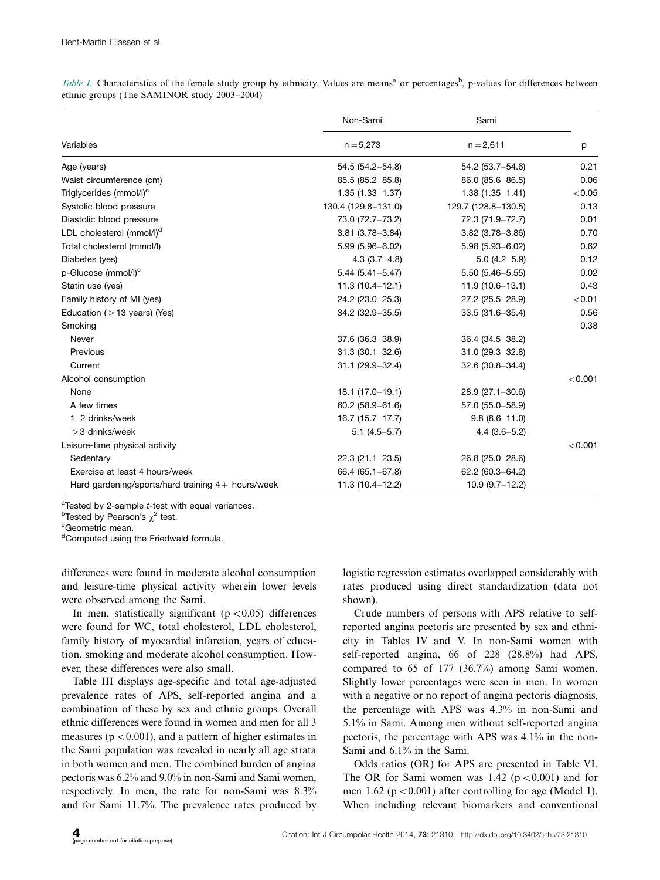|                                                     | Non-Sami             | Sami                | p       |
|-----------------------------------------------------|----------------------|---------------------|---------|
| Variables                                           | $n = 5,273$          | $n = 2,611$         |         |
| Age (years)                                         | $54.5(54.2 - 54.8)$  | 54.2 (53.7-54.6)    | 0.21    |
| Waist circumference (cm)                            | $85.5(85.2 - 85.8)$  | 86.0 (85.6-86.5)    | 0.06    |
| Triglycerides (mmol/l) <sup>c</sup>                 | $1.35(1.33 - 1.37)$  | $1.38(1.35 - 1.41)$ | < 0.05  |
| Systolic blood pressure                             | 130.4 (129.8-131.0)  | 129.7 (128.8-130.5) | 0.13    |
| Diastolic blood pressure                            | 73.0 (72.7-73.2)     | 72.3 (71.9-72.7)    | 0.01    |
| LDL cholesterol (mmol/l) <sup>d</sup>               | $3.81(3.78 - 3.84)$  | $3.82(3.78 - 3.86)$ | 0.70    |
| Total cholesterol (mmol/l)                          | 5.99 (5.96-6.02)     | $5.98(5.93 - 6.02)$ | 0.62    |
| Diabetes (yes)                                      | $4.3(3.7-4.8)$       | $5.0(4.2 - 5.9)$    | 0.12    |
| p-Glucose (mmol/l) <sup>c</sup>                     | $5.44(5.41 - 5.47)$  | $5.50(5.46 - 5.55)$ | 0.02    |
| Statin use (yes)                                    | $11.3(10.4 - 12.1)$  | $11.9(10.6 - 13.1)$ | 0.43    |
| Family history of MI (yes)                          | 24.2 (23.0-25.3)     | 27.2 (25.5-28.9)    | < 0.01  |
| Education ( $\geq$ 13 years) (Yes)                  | 34.2 (32.9 - 35.5)   | $33.5(31.6 - 35.4)$ | 0.56    |
| Smoking                                             |                      |                     | 0.38    |
| Never                                               | $37.6(36.3 - 38.9)$  | 36.4 (34.5 - 38.2)  |         |
| Previous                                            | $31.3(30.1 - 32.6)$  | $31.0(29.3 - 32.8)$ |         |
| Current                                             | $31.1 (29.9 - 32.4)$ | $32.6(30.8 - 34.4)$ |         |
| Alcohol consumption                                 |                      |                     | < 0.001 |
| None                                                | $18.1(17.0-19.1)$    | $28.9(27.1 - 30.6)$ |         |
| A few times                                         | $60.2(58.9 - 61.6)$  | 57.0 (55.0-58.9)    |         |
| $1-2$ drinks/week                                   | $16.7(15.7 - 17.7)$  | $9.8(8.6 - 11.0)$   |         |
| $\geq$ 3 drinks/week                                | $5.1(4.5-5.7)$       | $4.4(3.6-5.2)$      |         |
| Leisure-time physical activity                      |                      |                     | < 0.001 |
| Sedentary                                           | $22.3(21.1 - 23.5)$  | 26.8 (25.0-28.6)    |         |
| Exercise at least 4 hours/week                      | $66.4(65.1 - 67.8)$  | 62.2 (60.3-64.2)    |         |
| Hard gardening/sports/hard training $4+$ hours/week | $11.3(10.4 - 12.2)$  | $10.9(9.7-12.2)$    |         |

Table I. Characteristics of the female study group by ethnicity. Values are means<sup>a</sup> or percentages<sup>b</sup>, p-values for differences between ethnic groups (The SAMINOR study 2003-2004)

<sup>a</sup>Tested by 2-sample *t*-test with equal variances.<br><sup>b</sup>Tested by Pearson's x<sup>2</sup> test

<sup>b</sup>Tested by Pearson's  $\chi^2$  test.

Geometric mean.

<sup>d</sup>Computed using the Friedwald formula.

differences were found in moderate alcohol consumption and leisure-time physical activity wherein lower levels were observed among the Sami.

In men, statistically significant ( $p < 0.05$ ) differences were found for WC, total cholesterol, LDL cholesterol, family history of myocardial infarction, years of education, smoking and moderate alcohol consumption. However, these differences were also small.

Table III displays age-specific and total age-adjusted prevalence rates of APS, self-reported angina and a combination of these by sex and ethnic groups. Overall ethnic differences were found in women and men for all 3 measures ( $p < 0.001$ ), and a pattern of higher estimates in the Sami population was revealed in nearly all age strata in both women and men. The combined burden of angina pectoris was 6.2% and 9.0% in non-Sami and Sami women, respectively. In men, the rate for non-Sami was 8.3% and for Sami 11.7%. The prevalence rates produced by

logistic regression estimates overlapped considerably with rates produced using direct standardization (data not shown).

Crude numbers of persons with APS relative to selfreported angina pectoris are presented by sex and ethnicity in Tables IV and V. In non-Sami women with self-reported angina, 66 of 228 (28.8%) had APS, compared to 65 of 177 (36.7%) among Sami women. Slightly lower percentages were seen in men. In women with a negative or no report of angina pectoris diagnosis, the percentage with APS was 4.3% in non-Sami and 5.1% in Sami. Among men without self-reported angina pectoris, the percentage with APS was 4.1% in the non-Sami and 6.1% in the Sami.

Odds ratios (OR) for APS are presented in Table VI. The OR for Sami women was 1.42 ( $p < 0.001$ ) and for men 1.62 ( $p < 0.001$ ) after controlling for age (Model 1). When including relevant biomarkers and conventional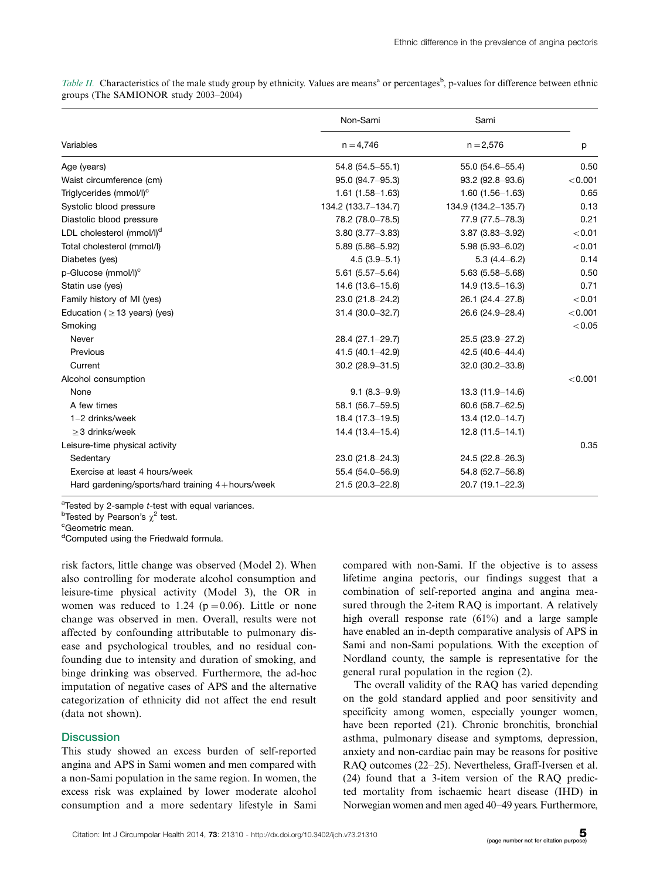Table II. Characteristics of the male study group by ethnicity. Values are means<sup>a</sup> or percentages<sup>b</sup>, p-values for difference between ethnic groups (The SAMIONOR study 2003-2004)

|                                                      | Non-Sami            | Sami                |          |
|------------------------------------------------------|---------------------|---------------------|----------|
| Variables                                            | $n = 4,746$         | $n = 2,576$         | p        |
| Age (years)                                          | $54.8(54.5 - 55.1)$ | 55.0 (54.6-55.4)    | 0.50     |
| Waist circumference (cm)                             | 95.0 (94.7-95.3)    | $93.2$ (92.8-93.6)  | < 0.001  |
| Triglycerides (mmol/l) <sup>c</sup>                  | $1.61(1.58 - 1.63)$ | $1.60(1.56 - 1.63)$ | 0.65     |
| Systolic blood pressure                              | 134.2 (133.7–134.7) | 134.9 (134.2-135.7) | 0.13     |
| Diastolic blood pressure                             | 78.2 (78.0-78.5)    | 77.9 (77.5-78.3)    | 0.21     |
| LDL cholesterol (mmol/l) <sup>d</sup>                | $3.80(3.77 - 3.83)$ | $3.87(3.83 - 3.92)$ | < 0.01   |
| Total cholesterol (mmol/l)                           | $5.89(5.86 - 5.92)$ | $5.98(5.93 - 6.02)$ | < 0.01   |
| Diabetes (yes)                                       | $4.5(3.9 - 5.1)$    | $5.3(4.4 - 6.2)$    | 0.14     |
| p-Glucose (mmol/l) <sup>c</sup>                      | $5.61(5.57 - 5.64)$ | $5.63(5.58 - 5.68)$ | 0.50     |
| Statin use (yes)                                     | $14.6(13.6 - 15.6)$ | $14.9(13.5 - 16.3)$ | 0.71     |
| Family history of MI (yes)                           | 23.0 (21.8-24.2)    | 26.1 (24.4-27.8)    | < 0.01   |
| Education ( $\geq$ 13 years) (yes)                   | $31.4(30.0 - 32.7)$ | 26.6 (24.9-28.4)    | < 0.001  |
| Smoking                                              |                     |                     | $< 0.05$ |
| Never                                                | 28.4 (27.1-29.7)    | 25.5 (23.9–27.2)    |          |
| Previous                                             | $41.5(40.1 - 42.9)$ | 42.5 (40.6-44.4)    |          |
| Current                                              | $30.2(28.9 - 31.5)$ | $32.0(30.2 - 33.8)$ |          |
| Alcohol consumption                                  |                     |                     | < 0.001  |
| None                                                 | $9.1(8.3-9.9)$      | $13.3(11.9 - 14.6)$ |          |
| A few times                                          | $58.1(56.7 - 59.5)$ | $60.6$ (58.7-62.5)  |          |
| $1-2$ drinks/week                                    | $18.4(17.3 - 19.5)$ | $13.4(12.0 - 14.7)$ |          |
| $>3$ drinks/week                                     | $14.4(13.4 - 15.4)$ | $12.8(11.5 - 14.1)$ |          |
| Leisure-time physical activity                       |                     |                     | 0.35     |
| Sedentary                                            | $23.0(21.8 - 24.3)$ | $24.5(22.8-26.3)$   |          |
| Exercise at least 4 hours/week                       | 55.4 (54.0-56.9)    | $54.8$ (52.7-56.8)  |          |
| Hard gardening/sports/hard training $4 +$ hours/week | $21.5(20.3 - 22.8)$ | $20.7(19.1 - 22.3)$ |          |

<sup>a</sup>Tested by 2-sample *t*-test with equal variances.<br><sup>b</sup>Tested by Pearson's x<sup>2</sup> test

<sup>b</sup>Tested by Pearson's  $\chi^2$  test.

Geometric mean.

<sup>d</sup>Computed using the Friedwald formula.

risk factors, little change was observed (Model 2). When also controlling for moderate alcohol consumption and leisure-time physical activity (Model 3), the OR in women was reduced to 1.24 ( $p=0.06$ ). Little or none change was observed in men. Overall, results were not affected by confounding attributable to pulmonary disease and psychological troubles, and no residual confounding due to intensity and duration of smoking, and binge drinking was observed. Furthermore, the ad-hoc imputation of negative cases of APS and the alternative categorization of ethnicity did not affect the end result (data not shown).

# **Discussion**

This study showed an excess burden of self-reported angina and APS in Sami women and men compared with a non-Sami population in the same region. In women, the excess risk was explained by lower moderate alcohol consumption and a more sedentary lifestyle in Sami compared with non-Sami. If the objective is to assess lifetime angina pectoris, our findings suggest that a combination of self-reported angina and angina measured through the 2-item RAQ is important. A relatively high overall response rate (61%) and a large sample have enabled an in-depth comparative analysis of APS in Sami and non-Sami populations. With the exception of Nordland county, the sample is representative for the general rural population in the region (2).

The overall validity of the RAQ has varied depending on the gold standard applied and poor sensitivity and specificity among women, especially younger women, have been reported (21). Chronic bronchitis, bronchial asthma, pulmonary disease and symptoms, depression, anxiety and non-cardiac pain may be reasons for positive RAQ outcomes (22-25). Nevertheless, Graff-Iversen et al. (24) found that a 3-item version of the RAQ predicted mortality from ischaemic heart disease (IHD) in Norwegian women and men aged 40-49 years. Furthermore,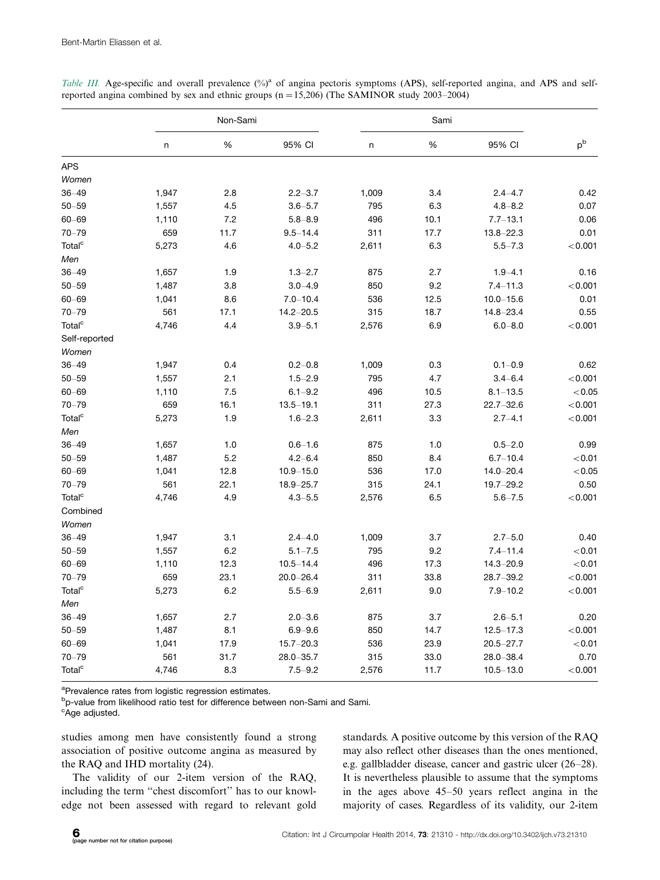|                    | Non-Sami |      | Sami          |       |      |               |         |
|--------------------|----------|------|---------------|-------|------|---------------|---------|
|                    | n        | %    | 95% CI        | n     | %    | 95% CI        | $p^b$   |
| <b>APS</b>         |          |      |               |       |      |               |         |
| Women              |          |      |               |       |      |               |         |
| $36 - 49$          | 1,947    | 2.8  | $2.2 - 3.7$   | 1,009 | 3.4  | $2.4 - 4.7$   | 0.42    |
| $50 - 59$          | 1,557    | 4.5  | $3.6 - 5.7$   | 795   | 6.3  | $4.8 - 8.2$   | 0.07    |
| $60 - 69$          | 1,110    | 7.2  | $5.8 - 8.9$   | 496   | 10.1 | $7.7 - 13.1$  | 0.06    |
| $70 - 79$          | 659      | 11.7 | $9.5 - 14.4$  | 311   | 17.7 | $13.8 - 22.3$ | 0.01    |
| Total <sup>c</sup> | 5,273    | 4.6  | $4.0 - 5.2$   | 2,611 | 6.3  | $5.5 - 7.3$   | < 0.001 |
| Men                |          |      |               |       |      |               |         |
| $36 - 49$          | 1,657    | 1.9  | $1.3 - 2.7$   | 875   | 2.7  | $1.9 - 4.1$   | 0.16    |
| $50 - 59$          | 1,487    | 3.8  | $3.0 - 4.9$   | 850   | 9.2  | $7.4 - 11.3$  | < 0.001 |
| $60 - 69$          | 1,041    | 8.6  | $7.0 - 10.4$  | 536   | 12.5 | $10.0 - 15.6$ | 0.01    |
| $70 - 79$          | 561      | 17.1 | $14.2 - 20.5$ | 315   | 18.7 | $14.8 - 23.4$ | 0.55    |
| Total <sup>c</sup> | 4,746    | 4.4  | $3.9 - 5.1$   | 2,576 | 6.9  | $6.0 - 8.0$   | < 0.001 |
| Self-reported      |          |      |               |       |      |               |         |
| Women              |          |      |               |       |      |               |         |
| $36 - 49$          | 1,947    | 0.4  | $0.2 - 0.8$   | 1,009 | 0.3  | $0.1 - 0.9$   | 0.62    |
| $50 - 59$          | 1,557    | 2.1  | $1.5 - 2.9$   | 795   | 4.7  | $3.4 - 6.4$   | < 0.001 |
| $60 - 69$          | 1,110    | 7.5  | $6.1 - 9.2$   | 496   | 10.5 | $8.1 - 13.5$  | < 0.05  |
| $70 - 79$          | 659      | 16.1 | $13.5 - 19.1$ | 311   | 27.3 | $22.7 - 32.6$ | < 0.001 |
| Total <sup>c</sup> | 5,273    | 1.9  | $1.6 - 2.3$   | 2,611 | 3.3  | $2.7 - 4.1$   | < 0.001 |
| Men                |          |      |               |       |      |               |         |
| $36 - 49$          | 1,657    | 1.0  | $0.6 - 1.6$   | 875   | 1.0  | $0.5 - 2.0$   | 0.99    |
| $50 - 59$          | 1,487    | 5.2  | $4.2 - 6.4$   | 850   | 8.4  | $6.7 - 10.4$  | < 0.01  |
| $60 - 69$          | 1,041    | 12.8 | $10.9 - 15.0$ | 536   | 17.0 | $14.0 - 20.4$ | < 0.05  |
| $70 - 79$          | 561      | 22.1 | $18.9 - 25.7$ | 315   | 24.1 | $19.7 - 29.2$ | 0.50    |
| Total <sup>c</sup> | 4,746    | 4.9  | $4.3 - 5.5$   | 2,576 | 6.5  | $5.6 - 7.5$   | < 0.001 |
| Combined           |          |      |               |       |      |               |         |
| Women              |          |      |               |       |      |               |         |
| $36 - 49$          | 1,947    | 3.1  | $2.4 - 4.0$   | 1,009 | 3.7  | $2.7 - 5.0$   | 0.40    |
| $50 - 59$          | 1,557    | 6.2  | $5.1 - 7.5$   | 795   | 9.2  | $7.4 - 11.4$  | < 0.01  |
| $60 - 69$          | 1,110    | 12.3 | $10.5 - 14.4$ | 496   | 17.3 | $14.3 - 20.9$ | < 0.01  |
| $70 - 79$          | 659      | 23.1 | $20.0 - 26.4$ | 311   | 33.8 | $28.7 - 39.2$ | < 0.001 |
| Total <sup>c</sup> | 5,273    | 6.2  | $5.5 - 6.9$   | 2,611 | 9.0  | $7.9 - 10.2$  | < 0.001 |
| Men                |          |      |               |       |      |               |         |
| $36 - 49$          | 1,657    | 2.7  | $2.0 - 3.6$   | 875   | 3.7  | $2.6 - 5.1$   | 0.20    |
| $50 - 59$          | 1,487    | 8.1  | $6.9 - 9.6$   | 850   | 14.7 | $12.5 - 17.3$ | < 0.001 |
| $60 - 69$          | 1,041    | 17.9 | $15.7 - 20.3$ | 536   | 23.9 | $20.5 - 27.7$ | < 0.01  |
| $70 - 79$          | 561      | 31.7 | $28.0 - 35.7$ | 315   | 33.0 | $28.0 - 38.4$ | 0.70    |
| Total <sup>c</sup> | 4,746    | 8.3  | $7.5 - 9.2$   | 2,576 | 11.7 | $10.5 - 13.0$ | < 0.001 |

Table III. Age-specific and overall prevalence  $(\%)^a$  of angina pectoris symptoms (APS), self-reported angina, and APS and selfreported angina combined by sex and ethnic groups  $(n=15,206)$  (The SAMINOR study 2003–2004)

<sup>a</sup>Prevalence rates from logistic regression estimates.

<sup>b</sup>p-value from likelihood ratio test for difference between non-Sami and Sami.

<sup>c</sup>Age adjusted.

studies among men have consistently found a strong association of positive outcome angina as measured by the RAQ and IHD mortality (24).

The validity of our 2-item version of the RAQ, including the term ''chest discomfort'' has to our knowledge not been assessed with regard to relevant gold standards. A positive outcome by this version of the RAQ may also reflect other diseases than the ones mentioned, e.g. gallbladder disease, cancer and gastric ulcer (26-28). It is nevertheless plausible to assume that the symptoms in the ages above 45-50 years reflect angina in the majority of cases. Regardless of its validity, our 2-item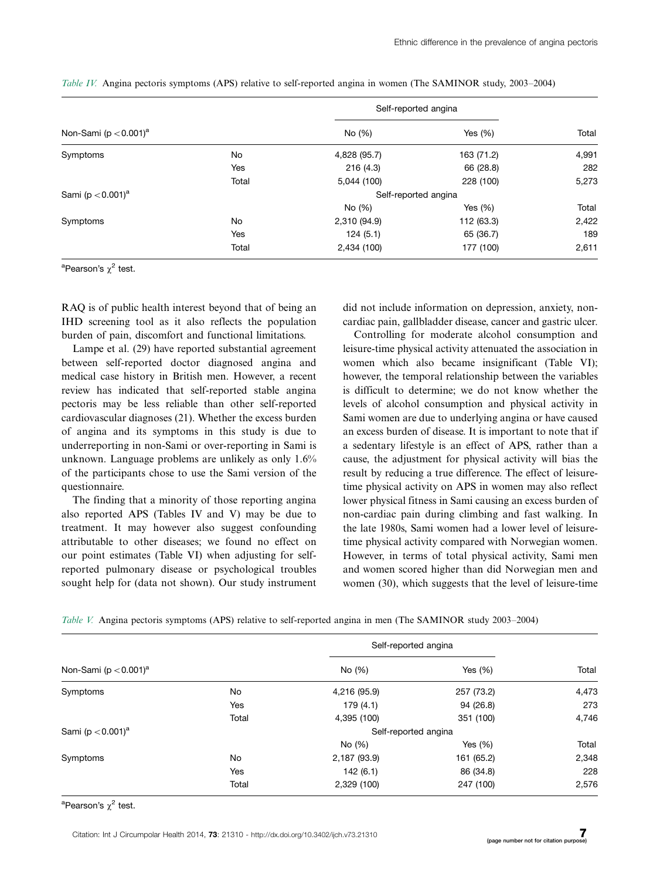|                                       |       | Self-reported angina |            | Total |
|---------------------------------------|-------|----------------------|------------|-------|
| Non-Sami ( $p < 0.001$ ) <sup>a</sup> |       | No (%)               | Yes $(\%)$ |       |
| Symptoms                              | No    | 4,828 (95.7)         | 163 (71.2) | 4,991 |
|                                       | Yes   | 216(4.3)             | 66 (28.8)  | 282   |
|                                       | Total | 5,044 (100)          | 228 (100)  | 5,273 |
| Sami ( $p < 0.001$ ) <sup>a</sup>     |       | Self-reported angina |            |       |
|                                       |       | No (%)               | Yes $(\%)$ | Total |
| Symptoms                              | No    | 2,310 (94.9)         | 112 (63.3) | 2,422 |
|                                       | Yes   | 124(5.1)             | 65 (36.7)  | 189   |
|                                       | Total | 2,434 (100)          | 177 (100)  | 2,611 |

Table IV. Angina pectoris symptoms (APS) relative to self-reported angina in women (The SAMINOR study, 2003–2004)

<sup>a</sup>Pearson's  $\chi^2$  test.

RAQ is of public health interest beyond that of being an IHD screening tool as it also reflects the population burden of pain, discomfort and functional limitations.

Lampe et al. (29) have reported substantial agreement between self-reported doctor diagnosed angina and medical case history in British men. However, a recent review has indicated that self-reported stable angina pectoris may be less reliable than other self-reported cardiovascular diagnoses (21). Whether the excess burden of angina and its symptoms in this study is due to underreporting in non-Sami or over-reporting in Sami is unknown. Language problems are unlikely as only 1.6% of the participants chose to use the Sami version of the questionnaire.

The finding that a minority of those reporting angina also reported APS (Tables IV and V) may be due to treatment. It may however also suggest confounding attributable to other diseases; we found no effect on our point estimates (Table VI) when adjusting for selfreported pulmonary disease or psychological troubles sought help for (data not shown). Our study instrument

did not include information on depression, anxiety, noncardiac pain, gallbladder disease, cancer and gastric ulcer.

Controlling for moderate alcohol consumption and leisure-time physical activity attenuated the association in women which also became insignificant (Table VI); however, the temporal relationship between the variables is difficult to determine; we do not know whether the levels of alcohol consumption and physical activity in Sami women are due to underlying angina or have caused an excess burden of disease. It is important to note that if a sedentary lifestyle is an effect of APS, rather than a cause, the adjustment for physical activity will bias the result by reducing a true difference. The effect of leisuretime physical activity on APS in women may also reflect lower physical fitness in Sami causing an excess burden of non-cardiac pain during climbing and fast walking. In the late 1980s, Sami women had a lower level of leisuretime physical activity compared with Norwegian women. However, in terms of total physical activity, Sami men and women scored higher than did Norwegian men and women (30), which suggests that the level of leisure-time

Table V. Angina pectoris symptoms (APS) relative to self-reported angina in men (The SAMINOR study 2003–2004)

|                                       |       | Self-reported angina |            |       |  |
|---------------------------------------|-------|----------------------|------------|-------|--|
| Non-Sami ( $p < 0.001$ ) <sup>a</sup> |       | No (%)               | Yes $(\%)$ | Total |  |
| Symptoms                              | No    | 4,216 (95.9)         | 257 (73.2) | 4,473 |  |
|                                       | Yes   | 179(4.1)             | 94 (26.8)  | 273   |  |
|                                       | Total | 4,395 (100)          | 351 (100)  | 4,746 |  |
| Sami ( $p < 0.001$ ) <sup>a</sup>     |       | Self-reported angina |            |       |  |
|                                       |       | No (%)               | Yes $(\%)$ | Total |  |
| Symptoms                              | No    | 2,187 (93.9)         | 161 (65.2) | 2,348 |  |
|                                       | Yes   | 142(6.1)             | 86 (34.8)  | 228   |  |
|                                       | Total | 2,329 (100)          | 247 (100)  | 2,576 |  |

<sup>a</sup>Pearson's χ<sup>2</sup> test.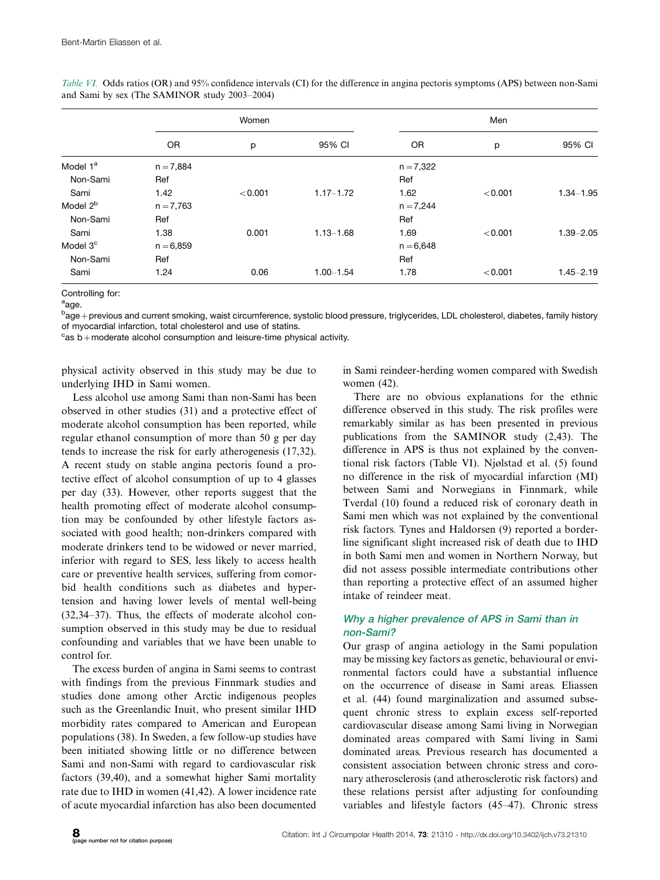|                      |             | Women   |               |             | Men     |               |  |
|----------------------|-------------|---------|---------------|-------------|---------|---------------|--|
|                      | 0R          | p       | 95% CI        | 0R          | р       | 95% CI        |  |
| Model 1 <sup>a</sup> | $n = 7,884$ |         |               | $n = 7,322$ |         |               |  |
| Non-Sami             | Ref         |         |               | Ref         |         |               |  |
| Sami                 | 1.42        | < 0.001 | $1.17 - 1.72$ | 1.62        | < 0.001 | $1.34 - 1.95$ |  |
| Model 2 <sup>b</sup> | $n = 7,763$ |         |               | $n = 7,244$ |         |               |  |
| Non-Sami             | Ref         |         |               | Ref         |         |               |  |
| Sami                 | 1.38        | 0.001   | $1.13 - 1.68$ | 1.69        | < 0.001 | $1.39 - 2.05$ |  |
| Model 3 <sup>c</sup> | $n = 6,859$ |         |               | $n = 6,648$ |         |               |  |
| Non-Sami             | Ref         |         |               | Ref         |         |               |  |
| Sami                 | 1.24        | 0.06    | $1.00 - 1.54$ | 1.78        | < 0.001 | $1.45 - 2.19$ |  |

Table VI. Odds ratios (OR) and 95% confidence intervals (CI) for the difference in angina pectoris symptoms (APS) between non-Sami and Sami by sex (The SAMINOR study 2003-2004)

Controlling for:

<sup>a</sup>age.

<sup>b</sup>age – previous and current smoking, waist circumference, systolic blood pressure, triglycerides, LDL cholesterol, diabetes, family history of myocardial infarction, total cholesterol and use of statins.

 $\mathrm{c}_{\mathsf{as}}$  b+moderate alcohol consumption and leisure-time physical activity.

physical activity observed in this study may be due to underlying IHD in Sami women.

Less alcohol use among Sami than non-Sami has been observed in other studies (31) and a protective effect of moderate alcohol consumption has been reported, while regular ethanol consumption of more than 50 g per day tends to increase the risk for early atherogenesis (17,32). A recent study on stable angina pectoris found a protective effect of alcohol consumption of up to 4 glasses per day (33). However, other reports suggest that the health promoting effect of moderate alcohol consumption may be confounded by other lifestyle factors associated with good health; non-drinkers compared with moderate drinkers tend to be widowed or never married, inferior with regard to SES, less likely to access health care or preventive health services, suffering from comorbid health conditions such as diabetes and hypertension and having lower levels of mental well-being (32,34-37). Thus, the effects of moderate alcohol consumption observed in this study may be due to residual confounding and variables that we have been unable to control for.

The excess burden of angina in Sami seems to contrast with findings from the previous Finnmark studies and studies done among other Arctic indigenous peoples such as the Greenlandic Inuit, who present similar IHD morbidity rates compared to American and European populations (38). In Sweden, a few follow-up studies have been initiated showing little or no difference between Sami and non-Sami with regard to cardiovascular risk factors (39,40), and a somewhat higher Sami mortality rate due to IHD in women (41,42). A lower incidence rate of acute myocardial infarction has also been documented

in Sami reindeer-herding women compared with Swedish women (42).

There are no obvious explanations for the ethnic difference observed in this study. The risk profiles were remarkably similar as has been presented in previous publications from the SAMINOR study (2,43). The difference in APS is thus not explained by the conventional risk factors (Table VI). Njølstad et al. (5) found no difference in the risk of myocardial infarction (MI) between Sami and Norwegians in Finnmark, while Tverdal (10) found a reduced risk of coronary death in Sami men which was not explained by the conventional risk factors. Tynes and Haldorsen (9) reported a borderline significant slight increased risk of death due to IHD in both Sami men and women in Northern Norway, but did not assess possible intermediate contributions other than reporting a protective effect of an assumed higher intake of reindeer meat.

# Why <sup>a</sup> higher prevalence of APS in Sami than in non-Sami?

Our grasp of angina aetiology in the Sami population may be missing key factors as genetic, behavioural or environmental factors could have a substantial influence on the occurrence of disease in Sami areas. Eliassen et al. (44) found marginalization and assumed subsequent chronic stress to explain excess self-reported cardiovascular disease among Sami living in Norwegian dominated areas compared with Sami living in Sami dominated areas. Previous research has documented a consistent association between chronic stress and coronary atherosclerosis (and atherosclerotic risk factors) and these relations persist after adjusting for confounding variables and lifestyle factors (45-47). Chronic stress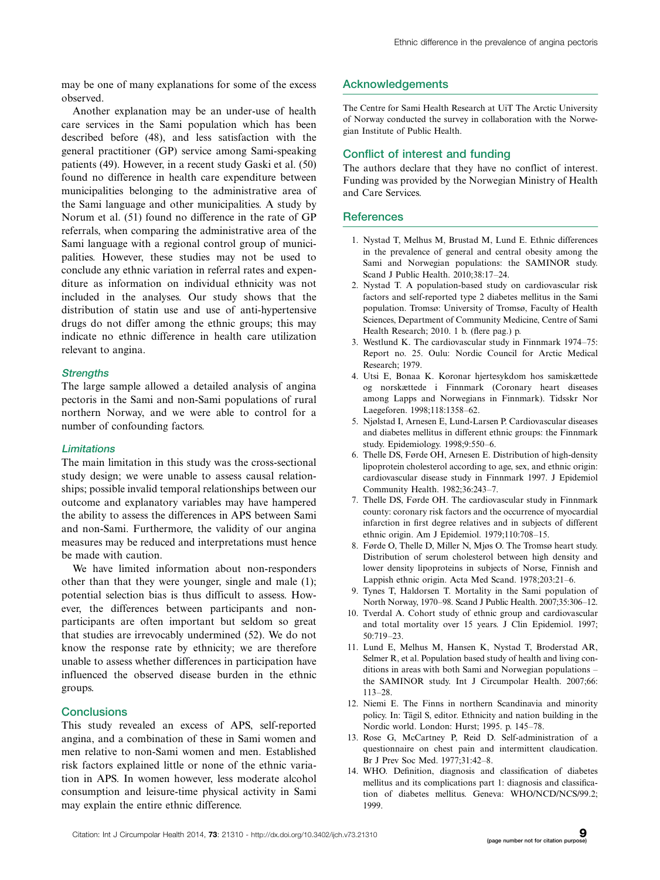may be one of many explanations for some of the excess observed.

Another explanation may be an under-use of health care services in the Sami population which has been described before (48), and less satisfaction with the general practitioner (GP) service among Sami-speaking patients (49). However, in a recent study Gaski et al. (50) found no difference in health care expenditure between municipalities belonging to the administrative area of the Sami language and other municipalities. A study by Norum et al. (51) found no difference in the rate of GP referrals, when comparing the administrative area of the Sami language with a regional control group of municipalities. However, these studies may not be used to conclude any ethnic variation in referral rates and expenditure as information on individual ethnicity was not included in the analyses. Our study shows that the distribution of statin use and use of anti-hypertensive drugs do not differ among the ethnic groups; this may indicate no ethnic difference in health care utilization relevant to angina.

#### **Strengths**

The large sample allowed a detailed analysis of angina pectoris in the Sami and non-Sami populations of rural northern Norway, and we were able to control for a number of confounding factors.

#### **Limitations**

The main limitation in this study was the cross-sectional study design; we were unable to assess causal relationships; possible invalid temporal relationships between our outcome and explanatory variables may have hampered the ability to assess the differences in APS between Sami and non-Sami. Furthermore, the validity of our angina measures may be reduced and interpretations must hence be made with caution.

We have limited information about non-responders other than that they were younger, single and male (1); potential selection bias is thus difficult to assess. However, the differences between participants and nonparticipants are often important but seldom so great that studies are irrevocably undermined (52). We do not know the response rate by ethnicity; we are therefore unable to assess whether differences in participation have influenced the observed disease burden in the ethnic groups.

#### **Conclusions**

This study revealed an excess of APS, self-reported angina, and a combination of these in Sami women and men relative to non-Sami women and men. Established risk factors explained little or none of the ethnic variation in APS. In women however, less moderate alcohol consumption and leisure-time physical activity in Sami may explain the entire ethnic difference.

#### **Acknowledgements**

The Centre for Sami Health Research at UiT The Arctic University of Norway conducted the survey in collaboration with the Norwegian Institute of Public Health.

## Conflict of interest and funding

The authors declare that they have no conflict of interest. Funding was provided by the Norwegian Ministry of Health and Care Services.

# **References**

- 1. Nystad T, Melhus M, Brustad M, Lund E. Ethnic differences in the prevalence of general and central obesity among the Sami and Norwegian populations: the SAMINOR study. Scand J Public Health. 2010;38:17-24.
- 2. Nystad T. A population-based study on cardiovascular risk factors and self-reported type 2 diabetes mellitus in the Sami population. Tromsø: University of Tromsø, Faculty of Health Sciences, Department of Community Medicine, Centre of Sami Health Research; 2010. 1 b. (flere pag.) p.
- 3. Westlund K. The cardiovascular study in Finnmark 1974-75: Report no. 25. Oulu: Nordic Council for Arctic Medical Research; 1979.
- 4. Utsi E, Bonaa K. Koronar hjertesykdom hos samiskættede og norskættede i Finnmark (Coronary heart diseases among Lapps and Norwegians in Finnmark). Tidsskr Nor Laegeforen. 1998;118:1358-62.
- 5. Njølstad I, Arnesen E, Lund-Larsen P. Cardiovascular diseases and diabetes mellitus in different ethnic groups: the Finnmark study. Epidemiology. 1998;9:550-6.
- 6. Thelle DS, Førde OH, Arnesen E. Distribution of high-density lipoprotein cholesterol according to age, sex, and ethnic origin: cardiovascular disease study in Finnmark 1997. J Epidemiol Community Health. 1982;36:243-7.
- 7. Thelle DS, Førde OH. The cardiovascular study in Finnmark county: coronary risk factors and the occurrence of myocardial infarction in first degree relatives and in subjects of different ethnic origin. Am J Epidemiol. 1979;110:708-15.
- 8. Førde O, Thelle D, Miller N, Mjøs O. The Tromsø heart study. Distribution of serum cholesterol between high density and lower density lipoproteins in subjects of Norse, Finnish and Lappish ethnic origin. Acta Med Scand. 1978;203:21-6.
- 9. Tynes T, Haldorsen T. Mortality in the Sami population of North Norway, 1970-98. Scand J Public Health. 2007;35:306-12.
- 10. Tverdal A. Cohort study of ethnic group and cardiovascular and total mortality over 15 years. J Clin Epidemiol. 1997; 50:719-23.
- 11. Lund E, Melhus M, Hansen K, Nystad T, Broderstad AR, Selmer R, et al. Population based study of health and living conditions in areas with both Sami and Norwegian populations the SAMINOR study. Int J Circumpolar Health. 2007;66: 113-28.
- 12. Niemi E. The Finns in northern Scandinavia and minority policy. In: Tägil S, editor. Ethnicity and nation building in the Nordic world. London: Hurst; 1995. p. 145-78.
- 13. Rose G, McCartney P, Reid D. Self-administration of a questionnaire on chest pain and intermittent claudication. Br J Prev Soc Med. 1977;31:42-8.
- 14. WHO. Definition, diagnosis and classification of diabetes mellitus and its complications part 1: diagnosis and classification of diabetes mellitus. Geneva: WHO/NCD/NCS/99.2; 1999.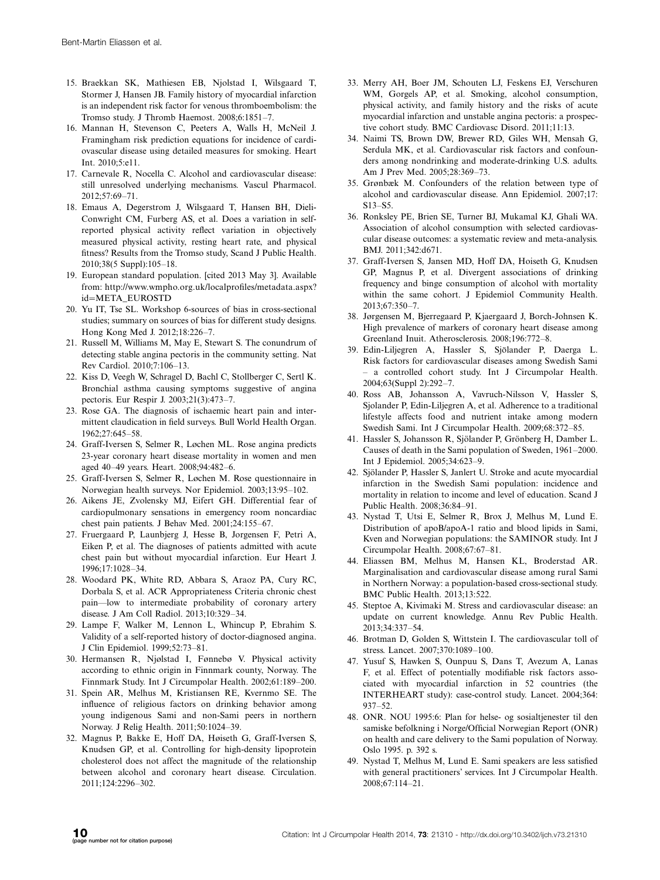- 15. Braekkan SK, Mathiesen EB, Njolstad I, Wilsgaard T, Stormer J, Hansen JB. Family history of myocardial infarction is an independent risk factor for venous thromboembolism: the Tromso study. J Thromb Haemost. 2008;6:1851-7.
- 16. Mannan H, Stevenson C, Peeters A, Walls H, McNeil J. Framingham risk prediction equations for incidence of cardiovascular disease using detailed measures for smoking. Heart  $Int. 2010.5. e11$ .
- 17. Carnevale R, Nocella C. Alcohol and cardiovascular disease: still unresolved underlying mechanisms. Vascul Pharmacol. 2012;57:69-71.
- 18. Emaus A, Degerstrom J, Wilsgaard T, Hansen BH, Dieli-Conwright CM, Furberg AS, et al. Does a variation in selfreported physical activity reflect variation in objectively measured physical activity, resting heart rate, and physical fitness? Results from the Tromso study, Scand J Public Health. 2010;38(5 Suppl):105-18.
- 19. European standard population. [cited 2013 May 3]. Available from: [http://www.wmpho.org.uk/localprofiles/metadata.aspx?](http://www.wmpho.org.uk/localprofiles/metadata.aspx?id=META_EUROSTD) [id](http://www.wmpho.org.uk/localprofiles/metadata.aspx?id=META_EUROSTD)=[META\\_EUROSTD](http://www.wmpho.org.uk/localprofiles/metadata.aspx?id=META_EUROSTD)
- 20. Yu IT, Tse SL. Workshop 6-sources of bias in cross-sectional studies; summary on sources of bias for different study designs. Hong Kong Med J. 2012;18:226-7.
- 21. Russell M, Williams M, May E, Stewart S. The conundrum of detecting stable angina pectoris in the community setting. Nat Rev Cardiol. 2010;7:106-13.
- 22. Kiss D, Veegh W, Schragel D, Bachl C, Stollberger C, Sertl K. Bronchial asthma causing symptoms suggestive of angina pectoris. Eur Respir J. 2003;21(3):473-7.
- 23. Rose GA. The diagnosis of ischaemic heart pain and intermittent claudication in field surveys. Bull World Health Organ. 1962;27:645-58.
- 24. Graff-Iversen S, Selmer R, Løchen ML. Rose angina predicts 23-year coronary heart disease mortality in women and men aged 40-49 years. Heart. 2008;94:482-6.
- 25. Graff-Iversen S, Selmer R, Løchen M. Rose questionnaire in Norwegian health surveys. Nor Epidemiol. 2003;13:95-102.
- 26. Aikens JE, Zvolensky MJ, Eifert GH. Differential fear of cardiopulmonary sensations in emergency room noncardiac chest pain patients. J Behav Med. 2001;24:155-67.
- 27. Fruergaard P, Launbjerg J, Hesse B, Jorgensen F, Petri A, Eiken P, et al. The diagnoses of patients admitted with acute chest pain but without myocardial infarction. Eur Heart J. 1996;17:1028-34.
- 28. Woodard PK, White RD, Abbara S, Araoz PA, Cury RC, Dorbala S, et al. ACR Appropriateness Criteria chronic chest pain-low to intermediate probability of coronary artery disease. J Am Coll Radiol. 2013;10:329-34.
- 29. Lampe F, Walker M, Lennon L, Whincup P, Ebrahim S. Validity of a self-reported history of doctor-diagnosed angina. J Clin Epidemiol. 1999;52:73-81.
- 30. Hermansen R, Njølstad I, Fønnebø V. Physical activity according to ethnic origin in Finnmark county, Norway. The Finnmark Study. Int J Circumpolar Health. 2002;61:189-200.
- 31. Spein AR, Melhus M, Kristiansen RE, Kvernmo SE. The influence of religious factors on drinking behavior among young indigenous Sami and non-Sami peers in northern Norway. J Relig Health. 2011;50:1024-39.
- 32. Magnus P, Bakke E, Hoff DA, Høiseth G, Graff-Iversen S, Knudsen GP, et al. Controlling for high-density lipoprotein cholesterol does not affect the magnitude of the relationship between alcohol and coronary heart disease. Circulation. 2011;124:2296-302.
- 33. Merry AH, Boer JM, Schouten LJ, Feskens EJ, Verschuren WM, Gorgels AP, et al. Smoking, alcohol consumption, physical activity, and family history and the risks of acute myocardial infarction and unstable angina pectoris: a prospective cohort study. BMC Cardiovasc Disord. 2011;11:13.
- 34. Naimi TS, Brown DW, Brewer RD, Giles WH, Mensah G, Serdula MK, et al. Cardiovascular risk factors and confounders among nondrinking and moderate-drinking U.S. adults. Am J Prev Med. 2005;28:369-73.
- 35. Grønbæk M. Confounders of the relation between type of alcohol and cardiovascular disease. Ann Epidemiol. 2007;17: S13-S5.
- 36. Ronksley PE, Brien SE, Turner BJ, Mukamal KJ, Ghali WA. Association of alcohol consumption with selected cardiovascular disease outcomes: a systematic review and meta-analysis. BMJ. 2011;342:d671.
- 37. Graff-Iversen S, Jansen MD, Hoff DA, Hoiseth G, Knudsen GP, Magnus P, et al. Divergent associations of drinking frequency and binge consumption of alcohol with mortality within the same cohort. J Epidemiol Community Health. 2013;67:350-7.
- 38. Jørgensen M, Bjerregaard P, Kjaergaard J, Borch-Johnsen K. High prevalence of markers of coronary heart disease among Greenland Inuit. Atherosclerosis. 2008;196:772-8.
- 39. Edin-Liljegren A, Hassler S, Sjölander P, Daerga L. Risk factors for cardiovascular diseases among Swedish Sami - a controlled cohort study. Int J Circumpolar Health. 2004;63(Suppl 2):292-7.
- 40. Ross AB, Johansson A, Vavruch-Nilsson V, Hassler S, Sjolander P, Edin-Liljegren A, et al. Adherence to a traditional lifestyle affects food and nutrient intake among modern Swedish Sami. Int J Circumpolar Health. 2009;68:372-85.
- 41. Hassler S, Johansson R, Sjölander P, Grönberg H, Damber L. Causes of death in the Sami population of Sweden, 1961-2000. Int J Epidemiol. 2005;34:623-9.
- 42. Sjölander P, Hassler S, Janlert U. Stroke and acute myocardial infarction in the Swedish Sami population: incidence and mortality in relation to income and level of education. Scand J Public Health. 2008;36:84-91.
- 43. Nystad T, Utsi E, Selmer R, Brox J, Melhus M, Lund E. Distribution of apoB/apoA-1 ratio and blood lipids in Sami, Kven and Norwegian populations: the SAMINOR study. Int J Circumpolar Health. 2008;67:67-81.
- 44. Eliassen BM, Melhus M, Hansen KL, Broderstad AR. Marginalisation and cardiovascular disease among rural Sami in Northern Norway: a population-based cross-sectional study. BMC Public Health. 2013;13:522.
- 45. Steptoe A, Kivimaki M. Stress and cardiovascular disease: an update on current knowledge. Annu Rev Public Health. 2013;34:337-54.
- 46. Brotman D, Golden S, Wittstein I. The cardiovascular toll of stress. Lancet. 2007;370:1089-100.
- 47. Yusuf S, Hawken S, Ounpuu S, Dans T, Avezum A, Lanas F, et al. Effect of potentially modifiable risk factors associated with myocardial infarction in 52 countries (the INTERHEART study): case-control study. Lancet. 2004;364: 937-52.
- 48. ONR. NOU 1995:6: Plan for helse- og sosialtjenester til den samiske befolkning i Norge/Official Norwegian Report (ONR) on health and care delivery to the Sami population of Norway. Oslo 1995. p. 392 s.
- 49. Nystad T, Melhus M, Lund E. Sami speakers are less satisfied with general practitioners' services. Int J Circumpolar Health. 2008;67:114-21.